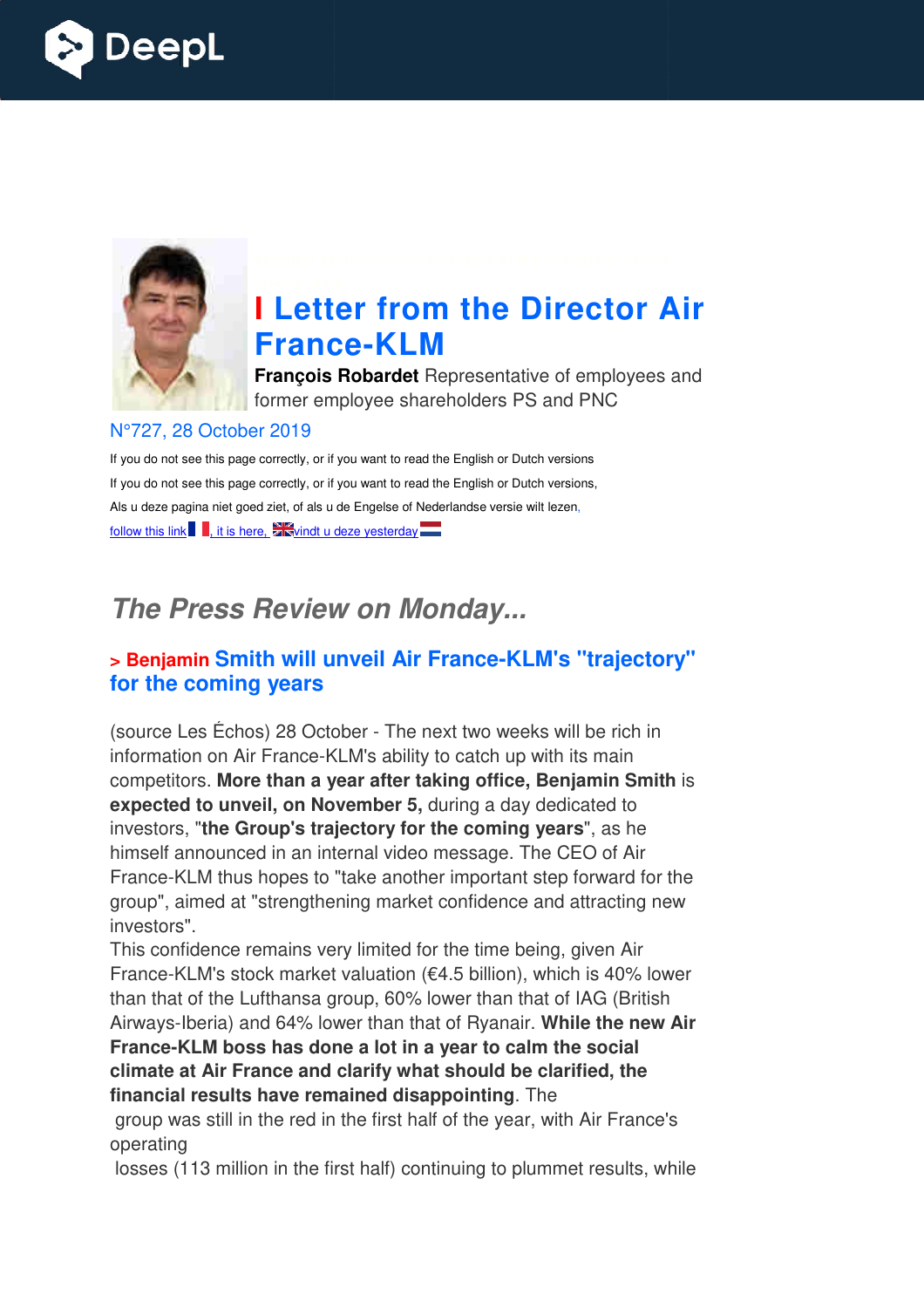



# **I Letter from the Director Air France France-KLM**

**François Robardet** Representative of employees and former employee shareholders PS and PNC

#### N°727, 28 October 2019

If you do not see this page correctly, or if you want to read the English or Dutch versions If you do not see this page correctly, or if you want to read the English or Dutch versions, Als u deze pagina niet goed ziet, of als u de Engelse of Nederlandse versie wilt lezen, follow this link  $\blacksquare$ , it is here,  $\square$  vindt u deze yesterday

# *The Press Review on Monday...*

#### **> Benjamin Smith will unveil Air France France-KLM's "trajectory" for the coming years**

(source Les Échos) 28 October - The next two weeks will be rich in information on Air France-KLM's ability to catch up with its main competitors. **More than a year after taking office, Benjamin Smith expected to unveil, on November 5,** investors, "**the Group's trajectory for the coming years** ", as he himself announced in an internal video message. The CEO of Air France-KLM thus hopes to "take another important step forward for the group", aimed at "strengthening market confidence and attracting new group", aimed at "strengthening market confidence an investors". KLM's ability to catch up with its main<br>**year after taking office, Benjamin Sr<br>ovember 5,** during a day dedicated to **ICE-KLM**<br> **Rediveryon the Director Air**<br> **Rediveryon Schareholders** PS and PNC<br> **IFyou want to read the English or Dutch versions**<br> **IFyou want to read the English or Dutch versions**<br> **IFyou want to read the English or Du** 

This confidence remains very limited for the time being, given Air group", aimed at "strengthening market confidence and attracting new<br>investors".<br>This confidence remains very limited for the time being, given Air<br>France-KLM's stock market valuation (€4.5 billion), which is 40% lower than that of the Lufthansa group, 60% lower than that of IAG (British Airways-Iberia) and 64% lower than that of Ryanair. While the new Air France-KLM boss has done a lot in a year to calm the social **climate at Air France and clarify what should be clarified, the financial results have remained disappointing** . The

 group was still in the red in the first half of the year, with Air France's operating

losses (113 million in the first half) continuing to plummet results, while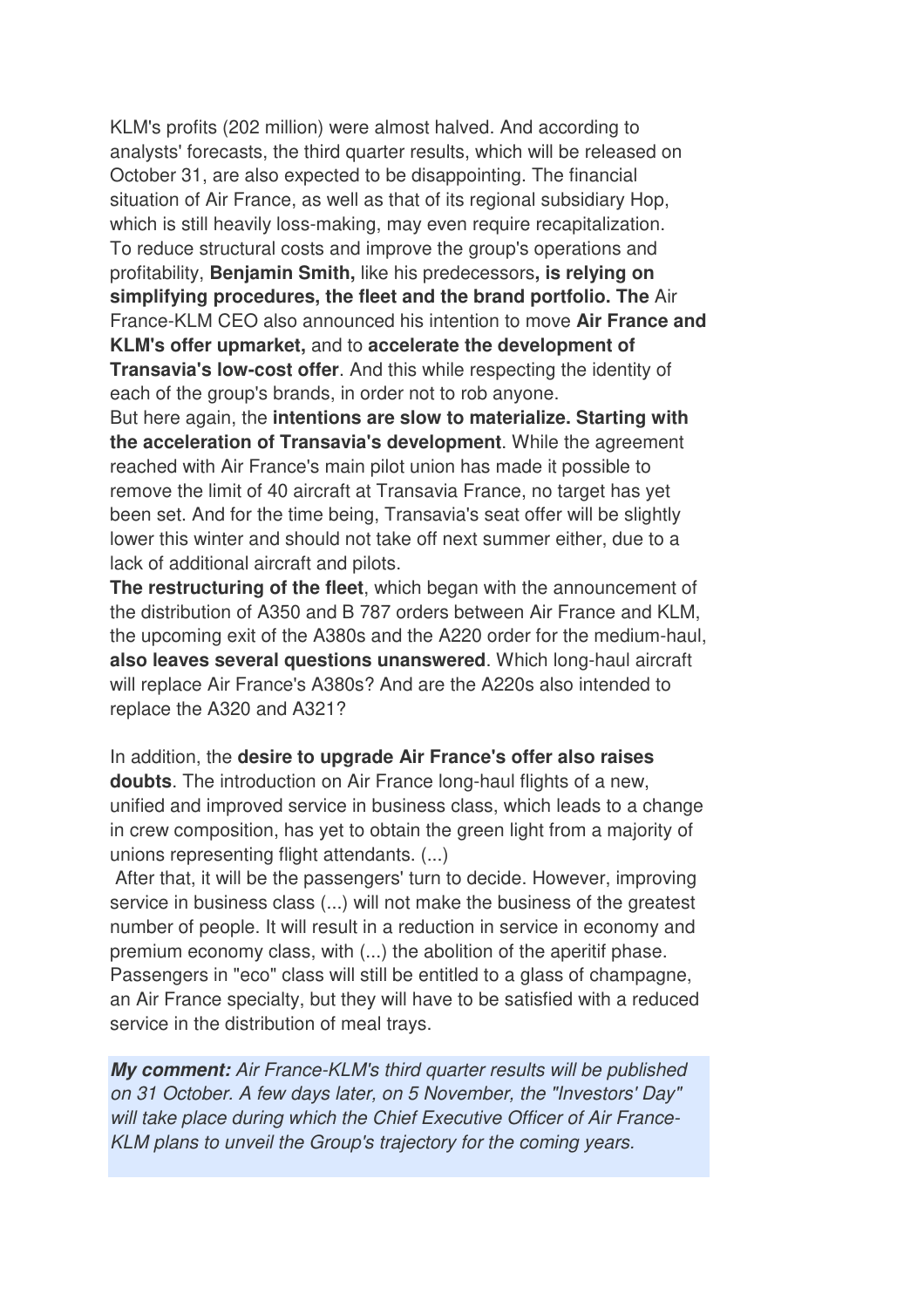KLM's profits (202 million) were almost halved. And according to analysts' forecasts, the third quarter results, which will be released on October 31, are also expected to be disappointing. The financial situation of Air France, as well as that of its regional subsidiary Hop, which is still heavily loss-making, may even require recapitalization. To reduce structural costs and improve the group's operations and profitability, **Benjamin Smith,** like his predecessors**, is relying on simplifying procedures, the fleet and the brand portfolio. The** Air France-KLM CEO also announced his intention to move **Air France and KLM's offer upmarket,** and to **accelerate the development of Transavia's low-cost offer**. And this while respecting the identity of each of the group's brands, in order not to rob anyone.

But here again, the **intentions are slow to materialize. Starting with the acceleration of Transavia's development**. While the agreement reached with Air France's main pilot union has made it possible to remove the limit of 40 aircraft at Transavia France, no target has yet been set. And for the time being, Transavia's seat offer will be slightly lower this winter and should not take off next summer either, due to a lack of additional aircraft and pilots.

**The restructuring of the fleet**, which began with the announcement of the distribution of A350 and B 787 orders between Air France and KLM, the upcoming exit of the A380s and the A220 order for the medium-haul, **also leaves several questions unanswered**. Which long-haul aircraft will replace Air France's A380s? And are the A220s also intended to replace the A320 and A321?

In addition, the **desire to upgrade Air France's offer also raises doubts**. The introduction on Air France long-haul flights of a new, unified and improved service in business class, which leads to a change in crew composition, has yet to obtain the green light from a majority of unions representing flight attendants. (...)

 After that, it will be the passengers' turn to decide. However, improving service in business class (...) will not make the business of the greatest number of people. It will result in a reduction in service in economy and premium economy class, with (...) the abolition of the aperitif phase. Passengers in "eco" class will still be entitled to a glass of champagne, an Air France specialty, but they will have to be satisfied with a reduced service in the distribution of meal trays.

*My comment: Air France-KLM's third quarter results will be published on 31 October. A few days later, on 5 November, the "Investors' Day" will take place during which the Chief Executive Officer of Air France-KLM plans to unveil the Group's trajectory for the coming years.*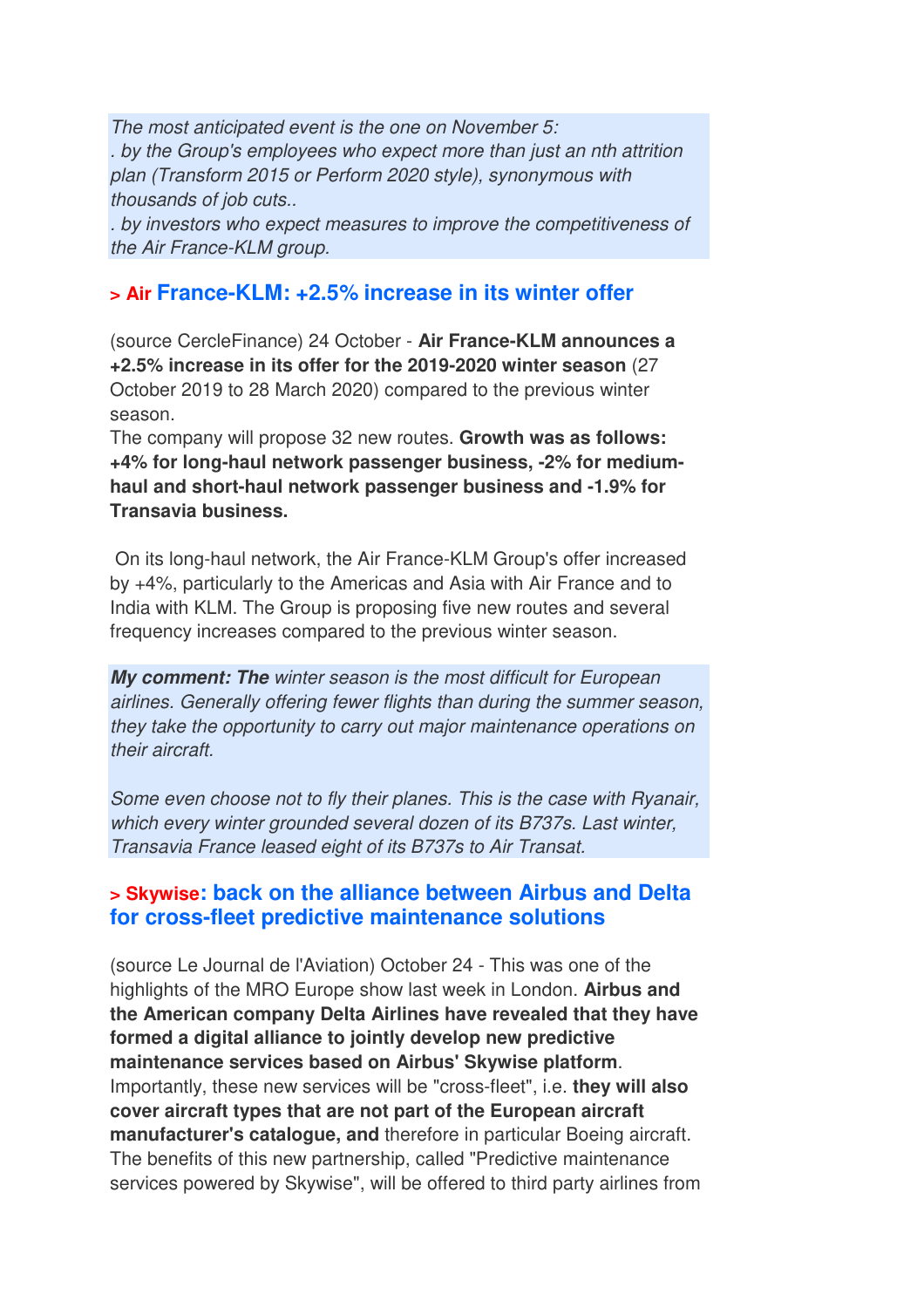*The most anticipated event is the one on November 5: . by the Group's employees who expect more than just an nth attrition plan (Transform 2015 or Perform 2020 style), synonymous with thousands of job cuts..* 

*. by investors who expect measures to improve the competitiveness of the Air France-KLM group.*

#### **> Air France-KLM: +2.5% increase in its winter offer**

(source CercleFinance) 24 October - **Air France-KLM announces a +2.5% increase in its offer for the 2019-2020 winter season** (27 October 2019 to 28 March 2020) compared to the previous winter season.

The company will propose 32 new routes. **Growth was as follows: +4% for long-haul network passenger business, -2% for mediumhaul and short-haul network passenger business and -1.9% for Transavia business.** 

 On its long-haul network, the Air France-KLM Group's offer increased by +4%, particularly to the Americas and Asia with Air France and to India with KLM. The Group is proposing five new routes and several frequency increases compared to the previous winter season.

*My comment: The winter season is the most difficult for European airlines. Generally offering fewer flights than during the summer season, they take the opportunity to carry out major maintenance operations on their aircraft.* 

*Some even choose not to fly their planes. This is the case with Ryanair, which every winter grounded several dozen of its B737s. Last winter, Transavia France leased eight of its B737s to Air Transat.*

#### **> Skywise: back on the alliance between Airbus and Delta for cross-fleet predictive maintenance solutions**

(source Le Journal de l'Aviation) October 24 - This was one of the highlights of the MRO Europe show last week in London. **Airbus and the American company Delta Airlines have revealed that they have formed a digital alliance to jointly develop new predictive maintenance services based on Airbus' Skywise platform**. Importantly, these new services will be "cross-fleet", i.e. **they will also cover aircraft types that are not part of the European aircraft manufacturer's catalogue, and** therefore in particular Boeing aircraft. The benefits of this new partnership, called "Predictive maintenance services powered by Skywise", will be offered to third party airlines from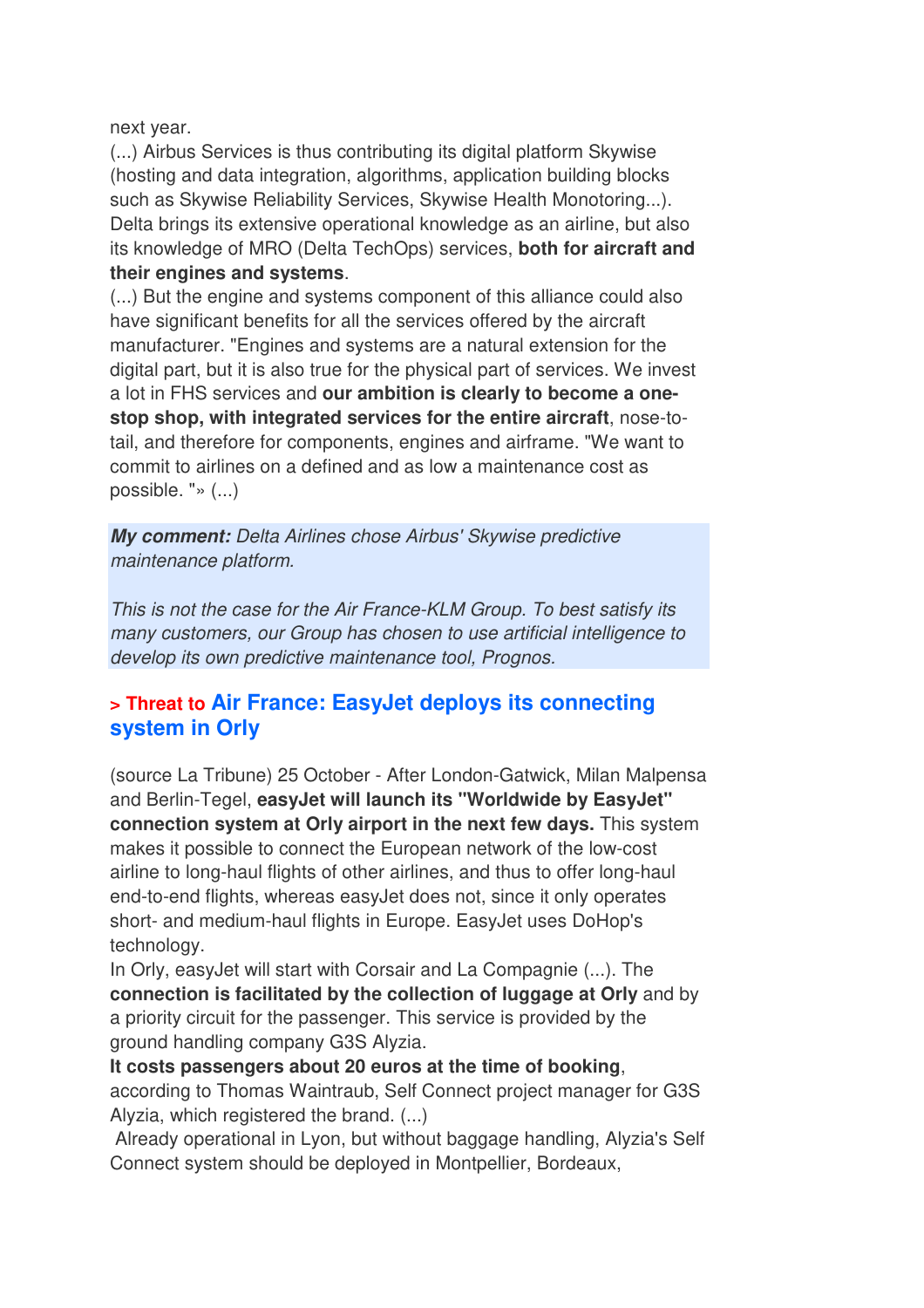next year.

(...) Airbus Services is thus contributing its digital platform Skywise (hosting and data integration, algorithms, application building blocks such as Skywise Reliability Services, Skywise Health Monotoring...). Delta brings its extensive operational knowledge as an airline, but also its knowledge of MRO (Delta TechOps) services, **both for aircraft and their engines and systems**.

(...) But the engine and systems component of this alliance could also have significant benefits for all the services offered by the aircraft manufacturer. "Engines and systems are a natural extension for the digital part, but it is also true for the physical part of services. We invest a lot in FHS services and **our ambition is clearly to become a onestop shop, with integrated services for the entire aircraft**, nose-totail, and therefore for components, engines and airframe. "We want to commit to airlines on a defined and as low a maintenance cost as possible. "» (...)

*My comment: Delta Airlines chose Airbus' Skywise predictive maintenance platform.* 

*This is not the case for the Air France-KLM Group. To best satisfy its many customers, our Group has chosen to use artificial intelligence to develop its own predictive maintenance tool, Prognos.*

## **> Threat to Air France: EasyJet deploys its connecting system in Orly**

(source La Tribune) 25 October - After London-Gatwick, Milan Malpensa and Berlin-Tegel, **easyJet will launch its "Worldwide by EasyJet" connection system at Orly airport in the next few days.** This system makes it possible to connect the European network of the low-cost airline to long-haul flights of other airlines, and thus to offer long-haul end-to-end flights, whereas easyJet does not, since it only operates short- and medium-haul flights in Europe. EasyJet uses DoHop's technology.

In Orly, easyJet will start with Corsair and La Compagnie (...). The **connection is facilitated by the collection of luggage at Orly** and by a priority circuit for the passenger. This service is provided by the ground handling company G3S Alyzia.

**It costs passengers about 20 euros at the time of booking**, according to Thomas Waintraub, Self Connect project manager for G3S Alyzia, which registered the brand. (...)

Already operational in Lyon, but without baggage handling, Alyzia's Self Connect system should be deployed in Montpellier, Bordeaux,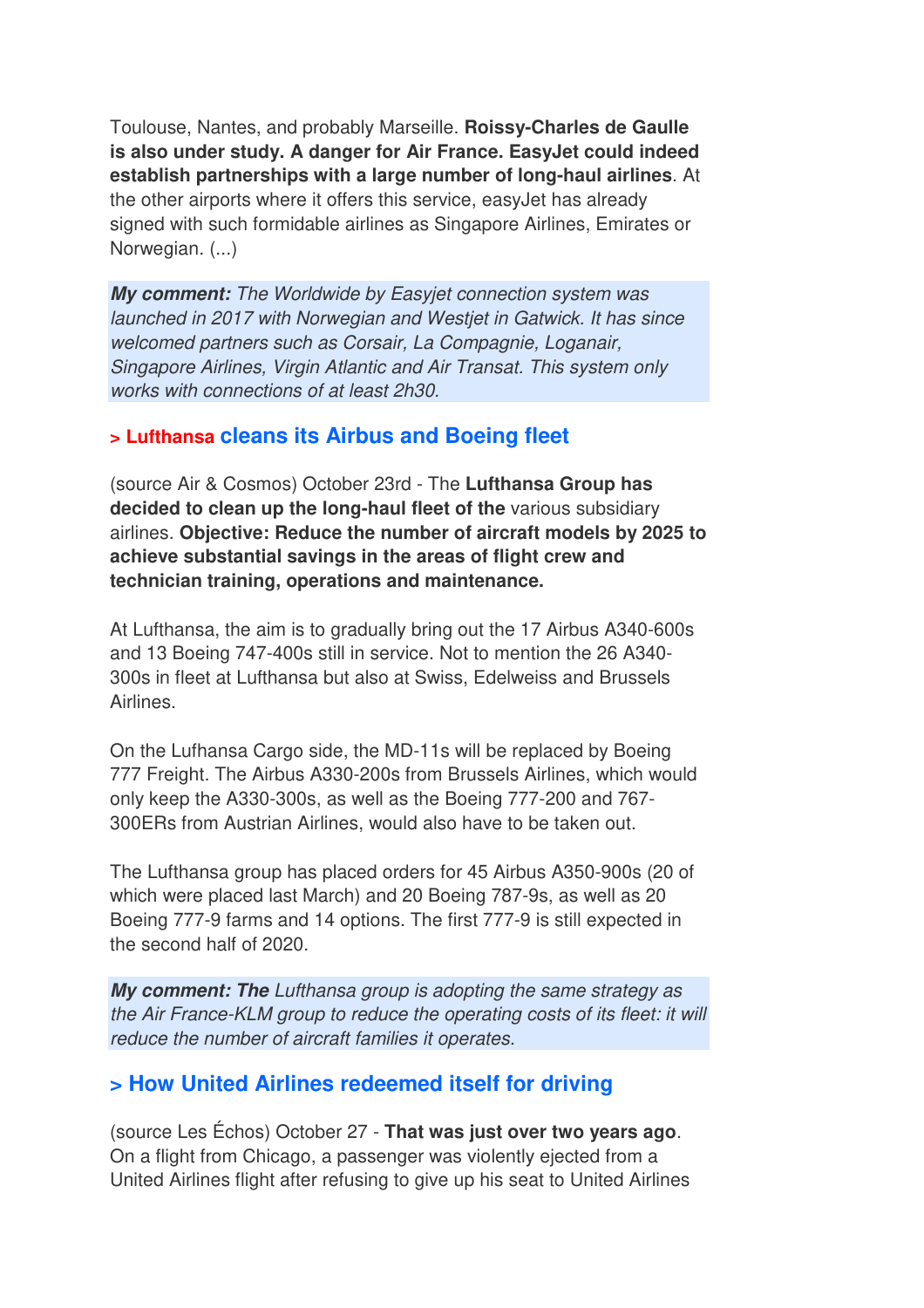Toulouse, Nantes, and probably Marseille. **Roissy-Charles de Gaulle is also under study. A danger for Air France. EasyJet could indeed establish partnerships with a large number of long-haul airlines**. At the other airports where it offers this service, easyJet has already signed with such formidable airlines as Singapore Airlines, Emirates or Norwegian. (...)

*My comment: The Worldwide by Easyjet connection system was launched in 2017 with Norwegian and Westjet in Gatwick. It has since welcomed partners such as Corsair, La Compagnie, Loganair, Singapore Airlines, Virgin Atlantic and Air Transat. This system only works with connections of at least 2h30.*

#### **> Lufthansa cleans its Airbus and Boeing fleet**

(source Air & Cosmos) October 23rd - The **Lufthansa Group has decided to clean up the long-haul fleet of the** various subsidiary airlines. **Objective: Reduce the number of aircraft models by 2025 to achieve substantial savings in the areas of flight crew and technician training, operations and maintenance.** 

At Lufthansa, the aim is to gradually bring out the 17 Airbus A340-600s and 13 Boeing 747-400s still in service. Not to mention the 26 A340- 300s in fleet at Lufthansa but also at Swiss, Edelweiss and Brussels Airlines.

On the Lufhansa Cargo side, the MD-11s will be replaced by Boeing 777 Freight. The Airbus A330-200s from Brussels Airlines, which would only keep the A330-300s, as well as the Boeing 777-200 and 767- 300ERs from Austrian Airlines, would also have to be taken out.

The Lufthansa group has placed orders for 45 Airbus A350-900s (20 of which were placed last March) and 20 Boeing 787-9s, as well as 20 Boeing 777-9 farms and 14 options. The first 777-9 is still expected in the second half of 2020.

*My comment: The Lufthansa group is adopting the same strategy as the Air France-KLM group to reduce the operating costs of its fleet: it will reduce the number of aircraft families it operates.*

# **> How United Airlines redeemed itself for driving**

(source Les Échos) October 27 - **That was just over two years ago**. On a flight from Chicago, a passenger was violently ejected from a United Airlines flight after refusing to give up his seat to United Airlines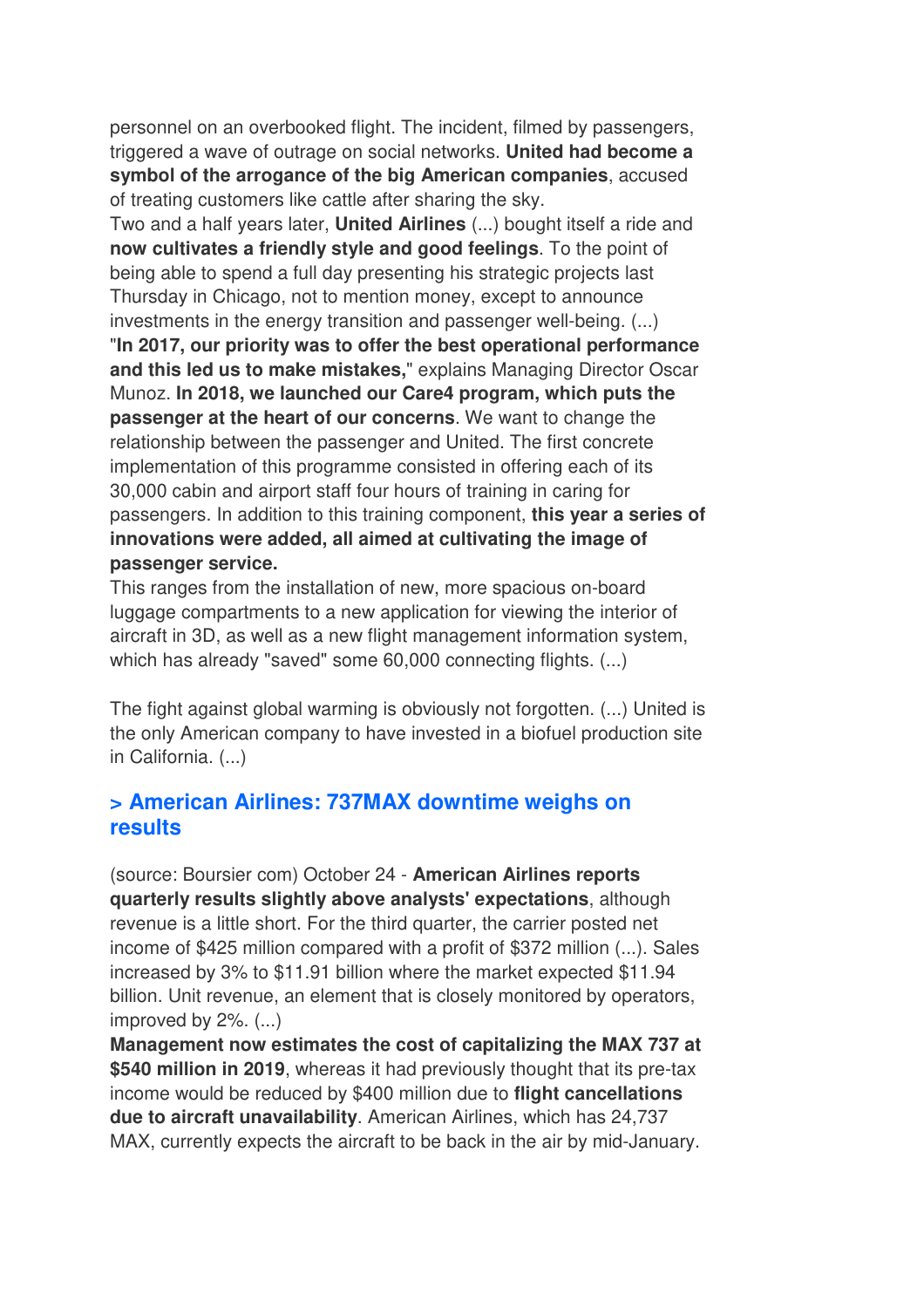personnel on an overbooked flight. The incident, filmed by passengers, triggered a wave of outrage on social networks. **United had become a symbol of the arrogance of the big American companies**, accused of treating customers like cattle after sharing the sky.

Two and a half years later, **United Airlines** (...) bought itself a ride and **now cultivates a friendly style and good feelings**. To the point of being able to spend a full day presenting his strategic projects last Thursday in Chicago, not to mention money, except to announce investments in the energy transition and passenger well-being. (...) "**In 2017, our priority was to offer the best operational performance and this led us to make mistakes,**" explains Managing Director Oscar Munoz. **In 2018, we launched our Care4 program, which puts the passenger at the heart of our concerns**. We want to change the relationship between the passenger and United. The first concrete implementation of this programme consisted in offering each of its 30,000 cabin and airport staff four hours of training in caring for passengers. In addition to this training component, **this year a series of innovations were added, all aimed at cultivating the image of passenger service.** 

This ranges from the installation of new, more spacious on-board luggage compartments to a new application for viewing the interior of aircraft in 3D, as well as a new flight management information system, which has already "saved" some 60,000 connecting flights. (...)

The fight against global warming is obviously not forgotten. (...) United is the only American company to have invested in a biofuel production site in California. (...)

#### **> American Airlines: 737MAX downtime weighs on results**

(source: Boursier com) October 24 - **American Airlines reports quarterly results slightly above analysts' expectations**, although revenue is a little short. For the third quarter, the carrier posted net income of \$425 million compared with a profit of \$372 million (...). Sales increased by 3% to \$11.91 billion where the market expected \$11.94 billion. Unit revenue, an element that is closely monitored by operators, improved by 2%. (...)

**Management now estimates the cost of capitalizing the MAX 737 at \$540 million in 2019**, whereas it had previously thought that its pre-tax income would be reduced by \$400 million due to **flight cancellations due to aircraft unavailability**. American Airlines, which has 24,737 MAX, currently expects the aircraft to be back in the air by mid-January.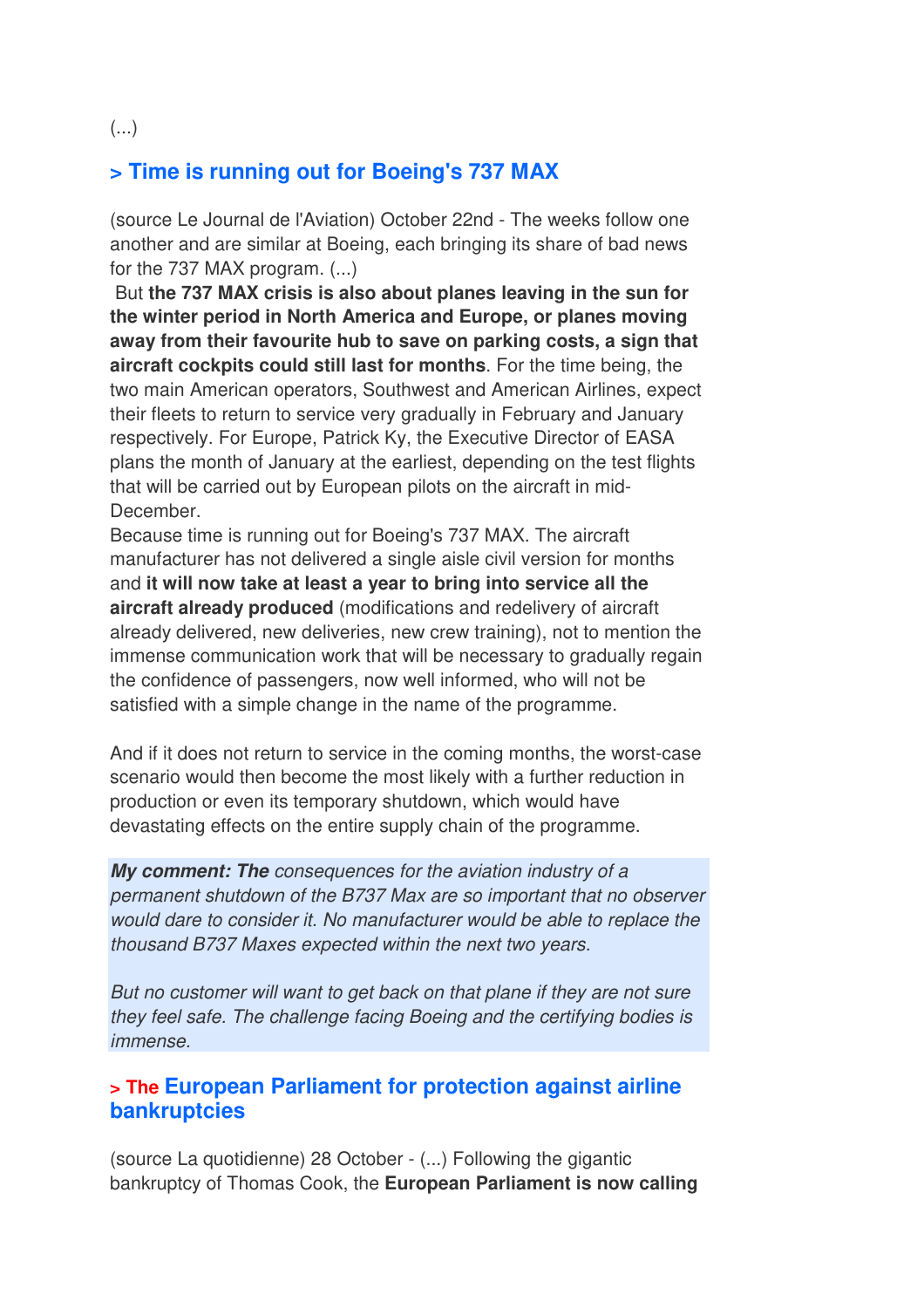#### (...)

#### **> Time is running out for Boeing's 737 MAX**

(source Le Journal de l'Aviation) October 22nd - The weeks follow one another and are similar at Boeing, each bringing its share of bad news for the 737 MAX program. (...)

 But **the 737 MAX crisis is also about planes leaving in the sun for the winter period in North America and Europe, or planes moving away from their favourite hub to save on parking costs, a sign that aircraft cockpits could still last for months**. For the time being, the two main American operators, Southwest and American Airlines, expect their fleets to return to service very gradually in February and January respectively. For Europe, Patrick Ky, the Executive Director of EASA plans the month of January at the earliest, depending on the test flights that will be carried out by European pilots on the aircraft in mid-December.

Because time is running out for Boeing's 737 MAX. The aircraft manufacturer has not delivered a single aisle civil version for months and **it will now take at least a year to bring into service all the aircraft already produced** (modifications and redelivery of aircraft already delivered, new deliveries, new crew training), not to mention the immense communication work that will be necessary to gradually regain the confidence of passengers, now well informed, who will not be satisfied with a simple change in the name of the programme.

And if it does not return to service in the coming months, the worst-case scenario would then become the most likely with a further reduction in production or even its temporary shutdown, which would have devastating effects on the entire supply chain of the programme.

*My comment: The consequences for the aviation industry of a permanent shutdown of the B737 Max are so important that no observer would dare to consider it. No manufacturer would be able to replace the thousand B737 Maxes expected within the next two years.* 

*But no customer will want to get back on that plane if they are not sure they feel safe. The challenge facing Boeing and the certifying bodies is immense.*

#### **> The European Parliament for protection against airline bankruptcies**

(source La quotidienne) 28 October - (...) Following the gigantic bankruptcy of Thomas Cook, the **European Parliament is now calling**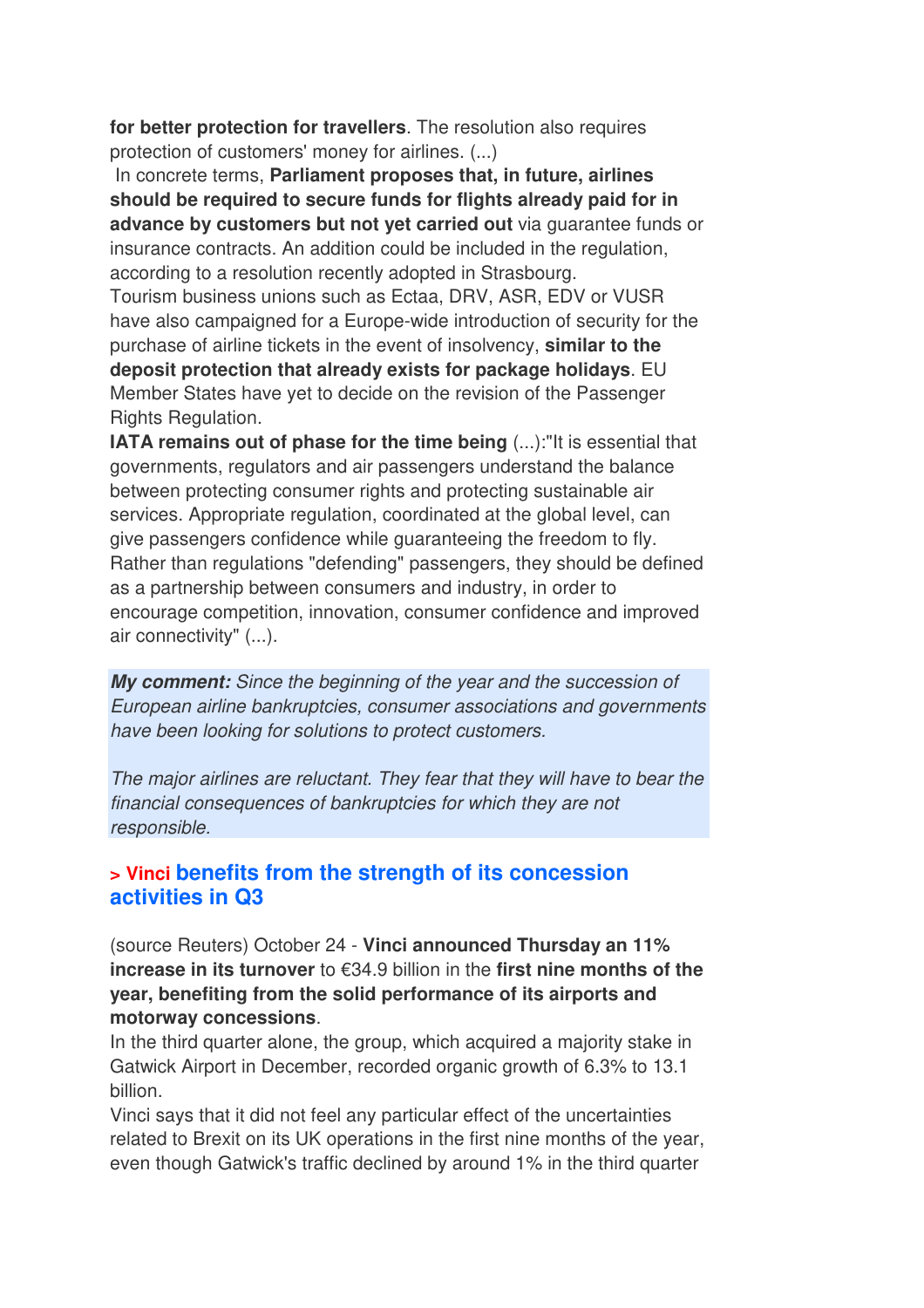**for better protection for travellers**. The resolution also requires protection of customers' money for airlines. (...)

 In concrete terms, **Parliament proposes that, in future, airlines should be required to secure funds for flights already paid for in advance by customers but not yet carried out** via guarantee funds or insurance contracts. An addition could be included in the regulation, according to a resolution recently adopted in Strasbourg. Tourism business unions such as Ectaa, DRV, ASR, EDV or VUSR have also campaigned for a Europe-wide introduction of security for the purchase of airline tickets in the event of insolvency, **similar to the deposit protection that already exists for package holidays**. EU Member States have yet to decide on the revision of the Passenger Rights Regulation.

**IATA remains out of phase for the time being** (...): "It is essential that governments, regulators and air passengers understand the balance between protecting consumer rights and protecting sustainable air services. Appropriate regulation, coordinated at the global level, can give passengers confidence while guaranteeing the freedom to fly. Rather than regulations "defending" passengers, they should be defined as a partnership between consumers and industry, in order to encourage competition, innovation, consumer confidence and improved air connectivity" (...).

*My comment: Since the beginning of the year and the succession of European airline bankruptcies, consumer associations and governments have been looking for solutions to protect customers.* 

*The major airlines are reluctant. They fear that they will have to bear the financial consequences of bankruptcies for which they are not responsible.*

#### **> Vinci benefits from the strength of its concession activities in Q3**

(source Reuters) October 24 - **Vinci announced Thursday an 11% increase in its turnover** to €34.9 billion in the **first nine months of the year, benefiting from the solid performance of its airports and motorway concessions**.

In the third quarter alone, the group, which acquired a majority stake in Gatwick Airport in December, recorded organic growth of 6.3% to 13.1 billion.

Vinci says that it did not feel any particular effect of the uncertainties related to Brexit on its UK operations in the first nine months of the year, even though Gatwick's traffic declined by around 1% in the third quarter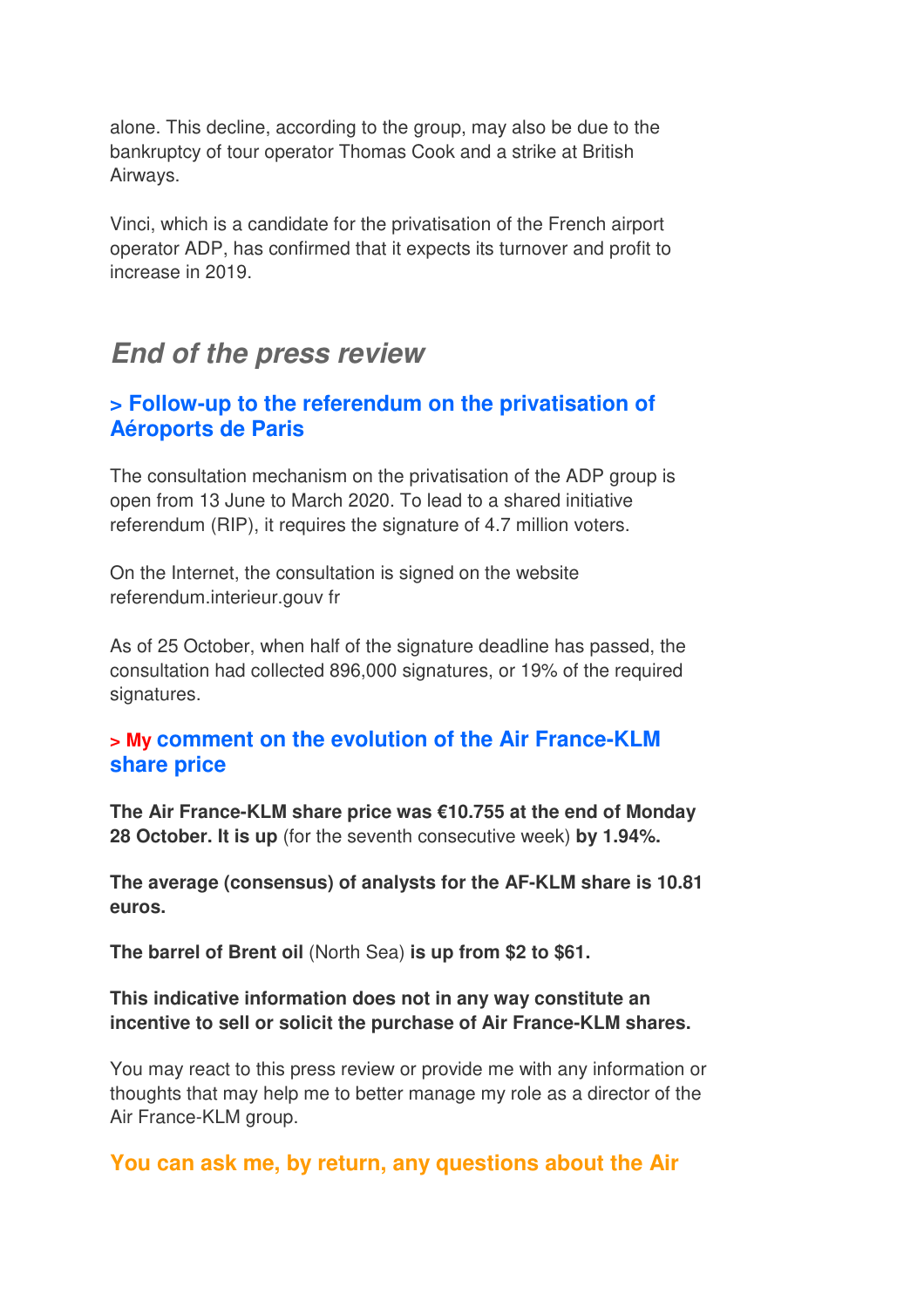alone. This decline, according to the group, may also be due to the bankruptcy of tour operator Thomas Cook and a strike at British Airways.

Vinci, which is a candidate for the privatisation of the French airport operator ADP, has confirmed that it expects its turnover and profit to increase in 2019.

# *End of the press review*

## **> Follow-up to the referendum on the privatisation of Aéroports de Paris**

The consultation mechanism on the privatisation of the ADP group is open from 13 June to March 2020. To lead to a shared initiative referendum (RIP), it requires the signature of 4.7 million voters.

On the Internet, the consultation is signed on the website referendum.interieur.gouv fr

As of 25 October, when half of the signature deadline has passed, the consultation had collected 896,000 signatures, or 19% of the required signatures.

#### **> My comment on the evolution of the Air France-KLM share price**

**The Air France-KLM share price was €10.755 at the end of Monday 28 October. It is up** (for the seventh consecutive week) **by 1.94%.** 

**The average (consensus) of analysts for the AF-KLM share is 10.81 euros.** 

**The barrel of Brent oil** (North Sea) **is up from \$2 to \$61.**

#### **This indicative information does not in any way constitute an incentive to sell or solicit the purchase of Air France-KLM shares.**

You may react to this press review or provide me with any information or thoughts that may help me to better manage my role as a director of the Air France-KLM group.

## **You can ask me, by return, any questions about the Air**